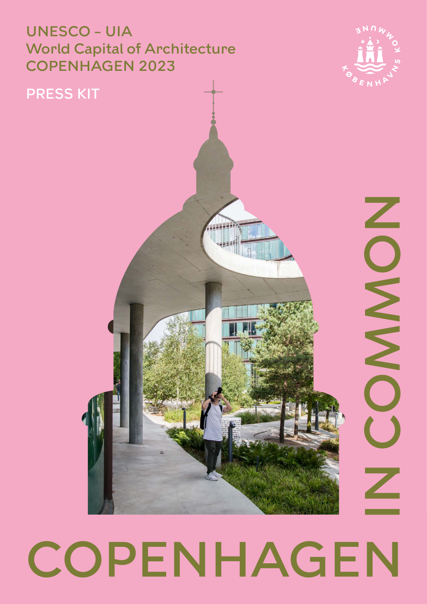### UNESCO – UIA World Capital of Architecture COPENHAGEN 2023



### PRESS KIT

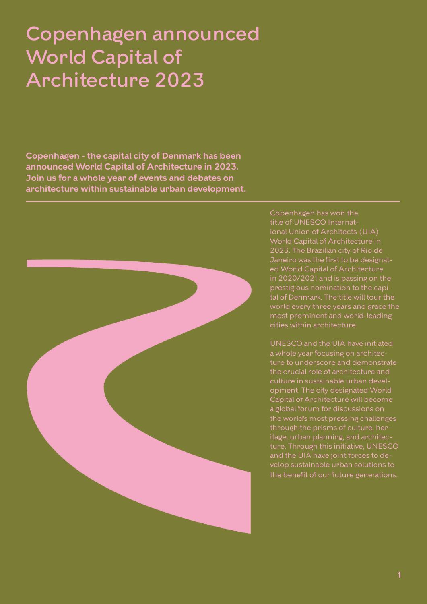## Copenhagen announced World Capital of Architecture 2023

**Copenhagen - the capital city of Denmark has been announced World Capital of Architecture in 2023. Join us for a whole year of events and debates on architecture within sustainable urban development.**



Copenhagen has won the ional Union of Architects (UIA) World Capital of Architecture in Janeiro was the first to be designated World Capital of Architecture prestigious nomination to the capiworld every three years and grace the most prominent and world-leading

UNESCO and the UIA have initiated a whole year focusing on architecture to underscore and demonstrate the crucial role of architecture and culture in sustainable urban development. The city designated World Capital of Architecture will become a global forum for discussions on the world's most pressing challenges through the prisms of culture, heritage, urban planning, and architecture. Through this initiative, UNESCO velop sustainable urban solutions to the benefit of our future generations.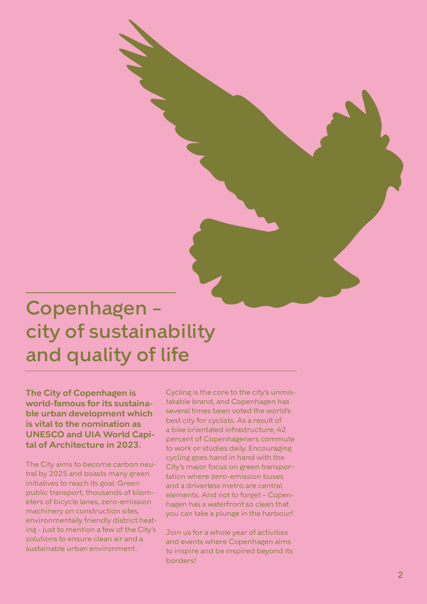# Copenhagen – city of sustainability and quality of life

**The City of Copenhagen is world-famous for its sustaina ble urban development which is vital to the nomination as UNESCO and UIA World Capi tal of Architecture in 2023.**

The City aims to become carbon neu tral by 2025 and boasts many green initiatives to reach its goal: Green public transport, thousands of kilom eters of bicycle lanes, zero-emission machinery on construction sites, environmentally friendly district heat ing - just to mention a few of the City's solutions to ensure clean air and a sustainable urban environment.

Cycling is the core to the city's unmis takable brand, and Copenhagen has several times been voted the world's best city for cyclists. As a result of a bike orientated infrastructure, 42 percent of Copenhageners commute to work or studies daily. Encouraging cycling goes hand in hand with the City's major focus on green transpor tation where zero-emission buses and a driverless metro are central elements. And not to forget – Copen hagen has a waterfront so clean that you can take a plunge in the harbour!

Join us for a whole year of activities and events where Copenhagen aims to inspire and be inspired beyond its borders!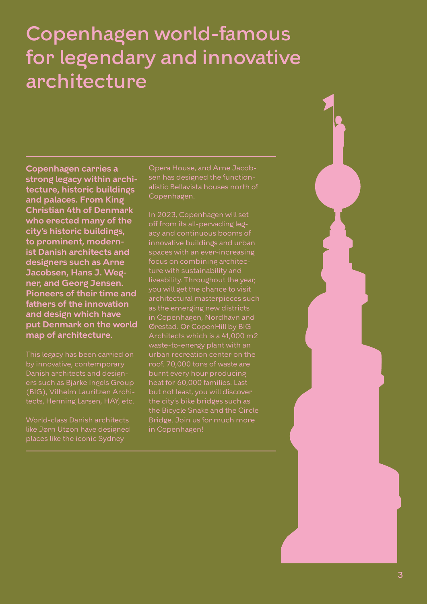# Copenhagen world-famous for legendary and innovative architecture

**Copenhagen carries a strong legacy within architecture, historic buildings and palaces. From King Christian 4th of Denmark who erected many of the city's historic buildings, to prominent, modernist Danish architects and designers such as Arne Jacobsen, Hans J. Wegner, and Georg Jensen. Pioneers of their time and fathers of the innovation and design which have put Denmark on the world map of architecture.**

by innovative, contemporary Danish architects and designers such as Bjarke Ingels Group (BIG), Vilhelm Lauritzen Architects, Henning Larsen, HAY, etc.

World-class Danish architects like Jørn Utzon have designed places like the iconic Sydney

Opera House, and Arne Jacobsen has designed the functionalistic Bellavista houses north of Copenhagen.

In 2023, Copenhagen will set off from its all-pervading legacy and continuous booms of innovative buildings and urban spaces with an ever-increasing focus on combining architecture with sustainability and liveability. Throughout the year, you will get the chance to visit architectural masterpieces such as the emerging new districts in Copenhagen, Nordhavn and Ørestad. Or CopenHill by BIG Architects which is a 41,000 m2 waste-to-energy plant with an urban recreation center on the roof. 70,000 tons of waste are burnt every hour producing heat for 60,000 families. Last the city's bike bridges such as the Bicycle Snake and the Circle Bridge. Join us for much more in Copenhagen!

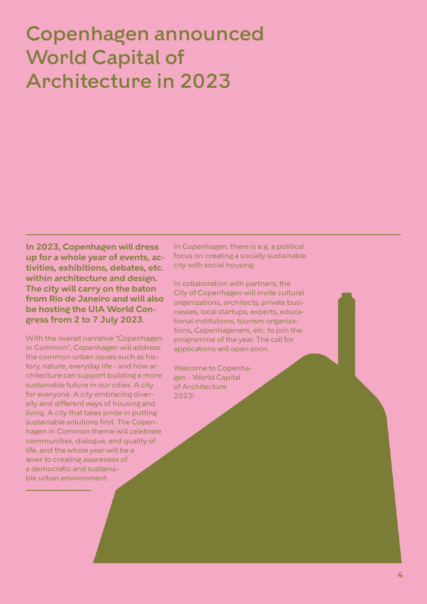# Copenhagen announced World Capital of Architecture in 2023

**In 2023, Copenhagen will dress up for a whole year of events, activities, exhibitions, debates, etc. within architecture and design. The city will carry on the baton from Rio de Janeiro and will also be hosting the UIA World Congress from 2 to 7 July 2023.** 

With the overall narrative "Copenhagen in Common", Copenhagen will address the common urban issues such as history, nature, everyday life - and how architecture can support building a more sustainable future in our cities. A city for everyone. A city embracing diversity and different ways of housing and living. A city that takes pride in putting sustainable solutions first. The Copenhagen in Common theme will celebrate communities, dialogue, and quality of life, and the whole year will be a lever to creating awareness of a democratic and sustainable urban environment.

In Copenhagen, there is e.g. a political focus on creating a socially sustainable city with social housing.

In collaboration with partners, the City of Copenhagen will invite cultural organizations, architects, private businesses, local startups, experts, educational institutions, tourism organizations, Copenhageners, etc. to join the programme of the year. The call for applications will open soon.

Welcome to Copenhagen - World Capital of Architecture 2023!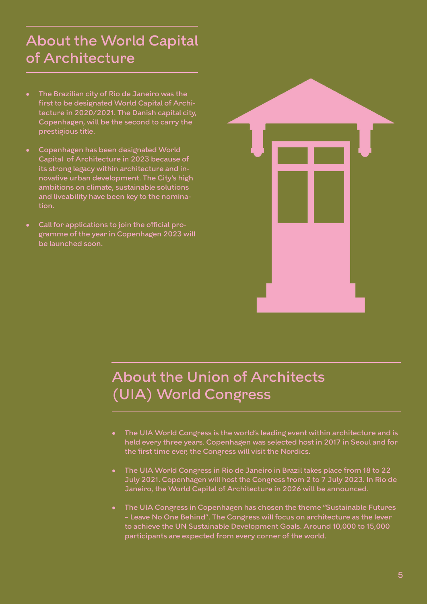## About the World Capital of Architecture

- The Brazilian city of Rio de Janeiro was the first to be designated World Capital of Architecture in 2020/2021. The Danish capital city, Copenhagen, will be the second to carry the prestigious title.
- Copenhagen has been designated World Capital of Architecture in 2023 because of its strong legacy within architecture and innovative urban development. The City's high ambitions on climate, sustainable solutions and liveability have been key to the nomination.
- Call for applications to join the official programme of the year in Copenhagen 2023 will be launched soon.



### About the Union of Architects (UIA) World Congress

- The UIA World Congress is the world's leading event within architecture and is held every three years. Copenhagen was selected host in 2017 in Seoul and for the first time ever, the Congress will visit the Nordics.
- The UIA World Congress in Rio de Janeiro in Brazil takes place from 18 to 22 July 2021. Copenhagen will host the Congress from 2 to 7 July 2023. In Rio de Janeiro, the World Capital of Architecture in 2026 will be announced.
- The UIA Congress in Copenhagen has chosen the theme "Sustainable Futures – Leave No One Behind". The Congress will focus on architecture as the lever to achieve the UN Sustainable Development Goals. Around 10,000 to 15,000 participants are expected from every corner of the world.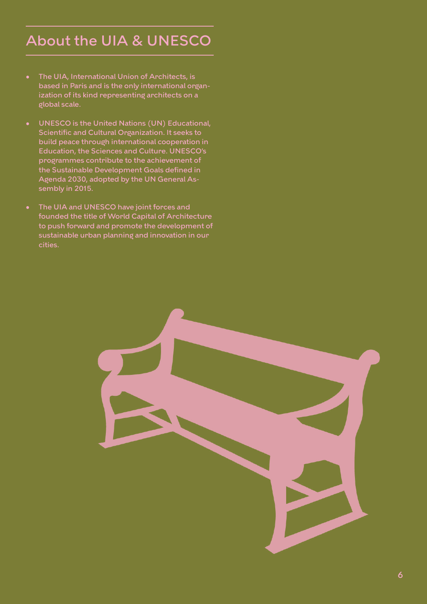## About the UIA & UNESCO

- The UIA, International Union of Architects, is based in Paris and is the only international organization of its kind representing architects on a global scale.
- UNESCO is the United Nations (UN) Educational, Scientific and Cultural Organization. It seeks to build peace through international cooperation in Education, the Sciences and Culture. UNESCO's programmes contribute to the achievement of the Sustainable Development Goals defined in Agenda 2030, adopted by the UN General Assembly in 2015.
- The UIA and UNESCO have joint forces and founded the title of World Capital of Architecture to push forward and promote the development of sustainable urban planning and innovation in our cities.

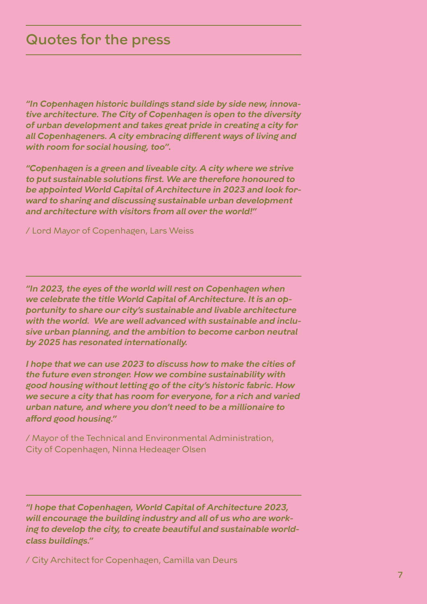#### Quotes for the press

*"In Copenhagen historic buildings stand side by side new, innovative architecture. The City of Copenhagen is open to the diversity of urban development and takes great pride in creating a city for all Copenhageners. A city embracing different ways of living and with room for social housing, too".*

*"Copenhagen is a green and liveable city. A city where we strive to put sustainable solutions first. We are therefore honoured to be appointed World Capital of Architecture in 2023 and look forward to sharing and discussing sustainable urban development and architecture with visitors from all over the world!"*

/ Lord Mayor of Copenhagen, Lars Weiss

*"In 2023, the eyes of the world will rest on Copenhagen when we celebrate the title World Capital of Architecture. It is an opportunity to share our city's sustainable and livable architecture with the world. We are well advanced with sustainable and inclusive urban planning, and the ambition to become carbon neutral by 2025 has resonated internationally.* 

*I hope that we can use 2023 to discuss how to make the cities of the future even stronger. How we combine sustainability with good housing without letting go of the city's historic fabric. How we secure a city that has room for everyone, for a rich and varied urban nature, and where you don't need to be a millionaire to afford good housing."*

/ Mayor of the Technical and Environmental Administration, City of Copenhagen, Ninna Hedeager Olsen

*"I hope that Copenhagen, World Capital of Architecture 2023, will encourage the building industry and all of us who are working to develop the city, to create beautiful and sustainable worldclass buildings."*

/ City Architect for Copenhagen, Camilla van Deurs